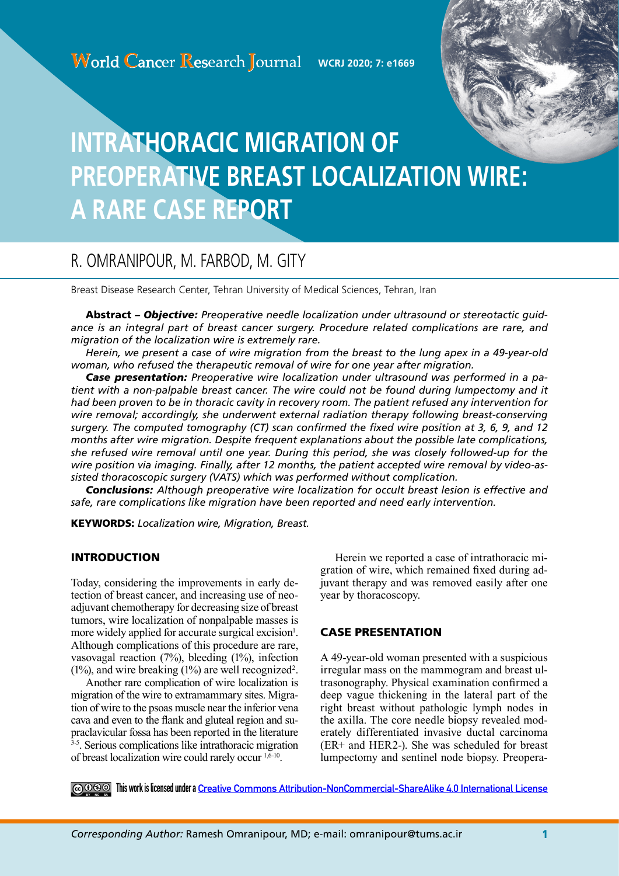

# **INTRATHORACIC MIGRATION OF PREOPERATIVE BREAST LOCALIZATION WIRE: A RARE CASE REPORT**

# R. OMRANIPOUR, M. FARBOD, M. GITY

Breast Disease Research Center, Tehran University of Medical Sciences, Tehran, Iran

Abstract *– Objective: Preoperative needle localization under ultrasound or stereotactic guidance is an integral part of breast cancer surgery. Procedure related complications are rare, and migration of the localization wire is extremely rare.* 

*Herein, we present a case of wire migration from the breast to the lung apex in a 49-year-old woman, who refused the therapeutic removal of wire for one year after migration.* 

*Case presentation: Preoperative wire localization under ultrasound was performed in a patient with a non-palpable breast cancer. The wire could not be found during lumpectomy and it had been proven to be in thoracic cavity in recovery room. The patient refused any intervention for wire removal; accordingly, she underwent external radiation therapy following breast-conserving surgery. The computed tomography (CT) scan confirmed the fixed wire position at 3, 6, 9, and 12 months after wire migration. Despite frequent explanations about the possible late complications, she refused wire removal until one year. During this period, she was closely followed-up for the wire position via imaging. Finally, after 12 months, the patient accepted wire removal by video-assisted thoracoscopic surgery (VATS) which was performed without complication.*

*Conclusions: Although preoperative wire localization for occult breast lesion is effective and safe, rare complications like migration have been reported and need early intervention.* 

KEYWORDS: *Localization wire, Migration, Breast.*

# INTRODUCTION

Today, considering the improvements in early detection of breast cancer, and increasing use of neoadjuvant chemotherapy for decreasing size of breast tumors, wire localization of nonpalpable masses is more widely applied for accurate surgical excision<sup>1</sup>. Although complications of this procedure are rare, vasovagal reaction (7%), bleeding (1%), infection  $(1\%)$ , and wire breaking  $(1\%)$  are well recognized<sup>2</sup>.

Another rare complication of wire localization is migration of the wire to extramammary sites. Migration of wire to the psoas muscle near the inferior vena cava and even to the flank and gluteal region and supraclavicular fossa has been reported in the literature <sup>3-5</sup>. Serious complications like intrathoracic migration of breast localization wire could rarely occur  $1,6-10$ .

Herein we reported a case of intrathoracic migration of wire, which remained fixed during adjuvant therapy and was removed easily after one year by thoracoscopy.

# CASE PRESENTATION

A 49-year-old woman presented with a suspicious irregular mass on the mammogram and breast ultrasonography. Physical examination confirmed a deep vague thickening in the lateral part of the right breast without pathologic lymph nodes in the axilla. The core needle biopsy revealed moderately differentiated invasive ductal carcinoma (ER+ and HER2-). She was scheduled for breast lumpectomy and sentinel node biopsy. Preopera-

**This work is licensed under a [Creative Commons Attribution-NonCommercial-ShareAlike 4.0 International License](https://creativecommons.org/licenses/by-nc-sa/4.0/)**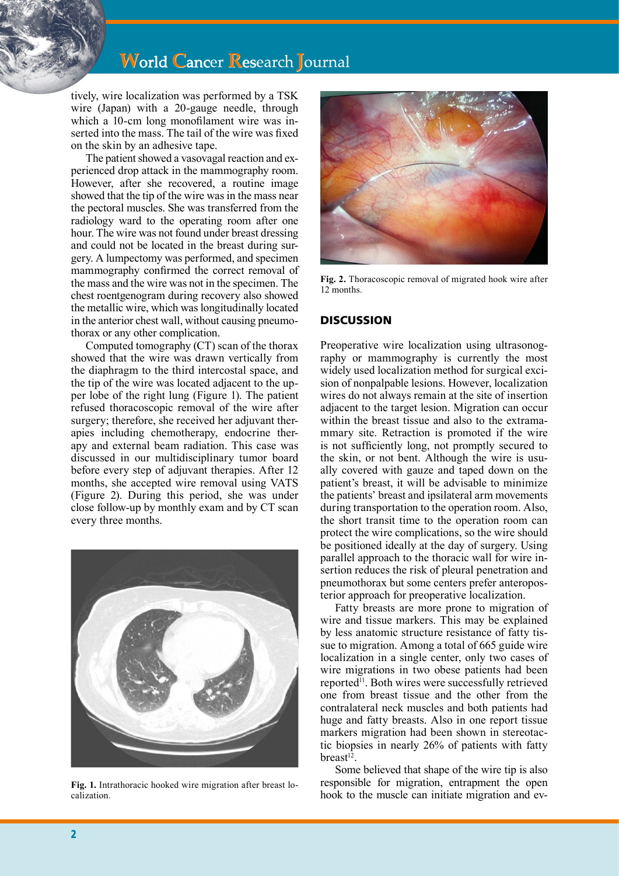# **World Cancer Research Journal**

tively, wire localization was performed by a TSK wire (Japan) with a 20-gauge needle, through which a 10-cm long monofilament wire was inserted into the mass. The tail of the wire was fixed on the skin by an adhesive tape.

The patient showed a vasovagal reaction and experienced drop attack in the mammography room. However, after she recovered, a routine image showed that the tip of the wire was in the mass near the pectoral muscles. She was transferred from the radiology ward to the operating room after one hour. The wire was not found under breast dressing and could not be located in the breast during surgery. A lumpectomy was performed, and specimen mammography confirmed the correct removal of the mass and the wire was not in the specimen. The chest roentgenogram during recovery also showed the metallic wire, which was longitudinally located in the anterior chest wall, without causing pneumothorax or any other complication.

Computed tomography (CT) scan of the thorax showed that the wire was drawn vertically from the diaphragm to the third intercostal space, and the tip of the wire was located adjacent to the upper lobe of the right lung (Figure 1). The patient refused thoracoscopic removal of the wire after surgery; therefore, she received her adjuvant therapies including chemotherapy, endocrine therapy and external beam radiation. This case was discussed in our multidisciplinary tumor board before every step of adjuvant therapies. After 12 months, she accepted wire removal using VATS (Figure 2). During this period, she was under close follow-up by monthly exam and by CT scan every three months.



**Fig. 1.** Intrathoracic hooked wire migration after breast localization.



**Fig. 2.** Thoracoscopic removal of migrated hook wire after 12 months.

## **DISCUSSION**

Preoperative wire localization using ultrasonography or mammography is currently the most widely used localization method for surgical excision of nonpalpable lesions. However, localization wires do not always remain at the site of insertion adjacent to the target lesion. Migration can occur within the breast tissue and also to the extramammary site. Retraction is promoted if the wire is not sufficiently long, not promptly secured to the skin, or not bent. Although the wire is usually covered with gauze and taped down on the patient's breast, it will be advisable to minimize the patients' breast and ipsilateral arm movements during transportation to the operation room. Also, the short transit time to the operation room can protect the wire complications, so the wire should be positioned ideally at the day of surgery. Using parallel approach to the thoracic wall for wire insertion reduces the risk of pleural penetration and pneumothorax but some centers prefer anteroposterior approach for preoperative localization.

Fatty breasts are more prone to migration of wire and tissue markers. This may be explained by less anatomic structure resistance of fatty tissue to migration. Among a total of 665 guide wire localization in a single center, only two cases of wire migrations in two obese patients had been reported<sup>11</sup>. Both wires were successfully retrieved one from breast tissue and the other from the contralateral neck muscles and both patients had huge and fatty breasts. Also in one report tissue markers migration had been shown in stereotactic biopsies in nearly 26% of patients with fatty  $break<sup>12</sup>$ .

Some believed that shape of the wire tip is also responsible for migration, entrapment the open hook to the muscle can initiate migration and ev